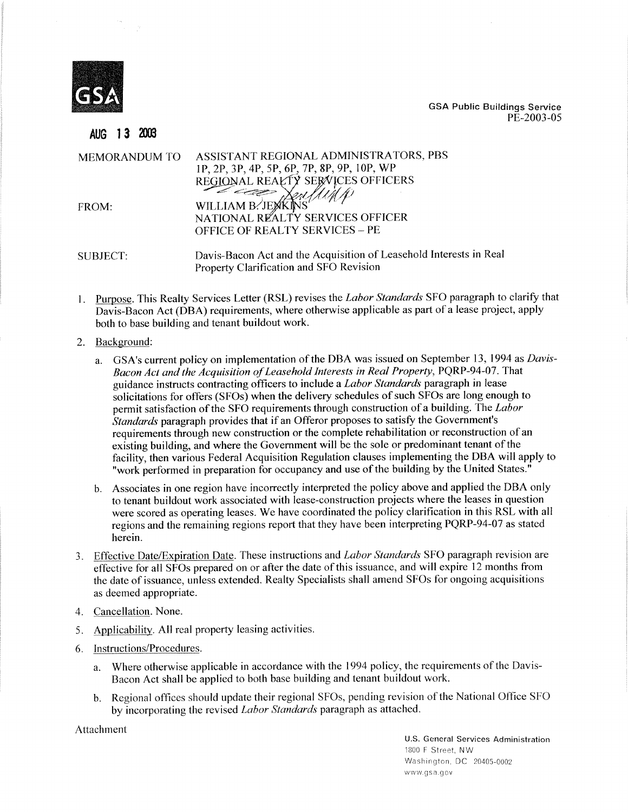

AUG 13 2003

**GSA Public Buildings Service** PE-2003-05

| MEMORANDUM TO | ASSISTANT REGIONAL ADMINISTRATORS, PBS<br>1P, 2P, 3P, 4P, 5P, 6P, 7P, 8P, 9P, 10P, WP<br>REGIONAL REALTY SERVICES OFFICERS |
|---------------|----------------------------------------------------------------------------------------------------------------------------|
| FROM:         | $\sim$<br>WILLIAM B. JEXKINS<br>NATIONAL REALTY SERVICES OFFICER<br><b>OFFICE OF REALTY SERVICES - PE</b>                  |
| SUBJECT:      | Davis-Bacon Act and the Acquisition of Leasehold Interests in Real<br>Property Clarification and SFO Revision              |

- Purpose. This Realty Services Letter (RSL) revises the *Labor Standards* SFO paragraph to clarify that Davis-Bacon Act (DBA) requirements, where otherwise applicable as part of a lease project, apply both to base building and tenant buildout work.
- 2. Background:
	- a. GSA's current policy on implementation of the DBA was issued on September 13, 1994 as *Davis-Bacon Act and the Acquisition of Leasehold Interests in Real Property,* PQRP-94-07. That guidance instructs contracting officers to include a *Labor Standards* paragraph in lease solicitations for offers (SFOs) when the delivery schedules of such SFOs are long enough to permit satisfaction of the SFO requirements through construction of a building. The *Labor Standards* paragraph provides that if an Offeror proposes to satisfy the Government's requirements through new construction or the complete rehabilitation or reconstruction of an existing building, and where the Government will be the sole or predominant tenant of the facility, then various Federal Acquisition Regulation clauses implementing the DBA will apply to "work performed in preparation for occupancy and use of the building by the United States."
	- b. Associates in one region have incorrectly interpreted the policy above and applied the DBA only to tenant buildout work associated with lease-construction projects where the leases in question were scored as operating leases. We have coordinated the policy clarification in this RSL with all regions and the remaining regions report that they have been interpreting PQRP-94-07 as stated herein.
- 3. Effective Date/Expiration Date. These instructions and *Labor Standards* SFO paragraph revision are effective for all SFOs prepared on or after the date of this issuance, and will expire 12 months from the date of issuance, unless extended. Realty Specialists shall amend SFOs for ongoing acquisitions as deemed appropriate.
- 4. Cancellation. None.
- 5. Applicability. All real property leasing activities.
- 6. Instructions/Procedures.
	- a. Where otherwise applicable in accordance with the 1994 policy, the requirements of the Davis-Bacon Act shall be applied to both base building and tenant buildout work.
	- b. Regional offices should update their regional SFOs, pending revision of the National Office SFO by incorporating the revised *Labor Standards* paragraph as attached.

Attachment